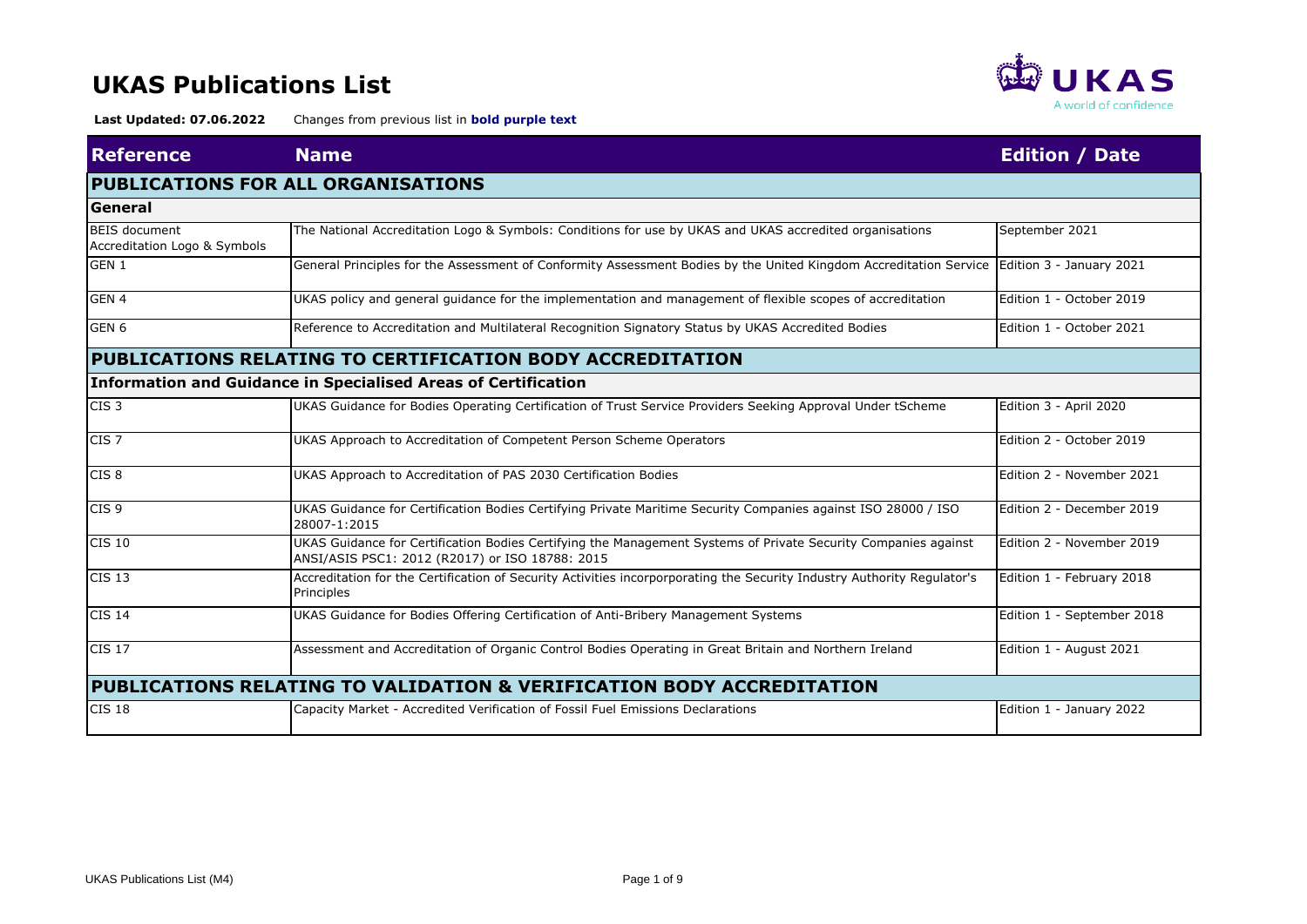

| <b>Reference</b>                              | <b>Name</b>                                                                                                                                                       | <b>Edition / Date</b>      |
|-----------------------------------------------|-------------------------------------------------------------------------------------------------------------------------------------------------------------------|----------------------------|
|                                               | <b>PUBLICATIONS FOR ALL ORGANISATIONS</b>                                                                                                                         |                            |
| <b>General</b>                                |                                                                                                                                                                   |                            |
| BEIS document<br>Accreditation Logo & Symbols | The National Accreditation Logo & Symbols: Conditions for use by UKAS and UKAS accredited organisations                                                           | September 2021             |
| GEN 1                                         | General Principles for the Assessment of Conformity Assessment Bodies by the United Kingdom Accreditation Service                                                 | Edition 3 - January 2021   |
| GEN 4                                         | UKAS policy and general guidance for the implementation and management of flexible scopes of accreditation                                                        | Edition 1 - October 2019   |
| GEN <sub>6</sub>                              | Reference to Accreditation and Multilateral Recognition Signatory Status by UKAS Accredited Bodies                                                                | Edition 1 - October 2021   |
|                                               | PUBLICATIONS RELATING TO CERTIFICATION BODY ACCREDITATION                                                                                                         |                            |
|                                               | <b>Information and Guidance in Specialised Areas of Certification</b>                                                                                             |                            |
| CIS <sub>3</sub>                              | UKAS Guidance for Bodies Operating Certification of Trust Service Providers Seeking Approval Under tScheme                                                        | Edition 3 - April 2020     |
| CIS <sub>7</sub>                              | UKAS Approach to Accreditation of Competent Person Scheme Operators                                                                                               | Edition 2 - October 2019   |
| CIS <sub>8</sub>                              | UKAS Approach to Accreditation of PAS 2030 Certification Bodies                                                                                                   | Edition 2 - November 2021  |
| CIS <sub>9</sub>                              | UKAS Guidance for Certification Bodies Certifying Private Maritime Security Companies against ISO 28000 / ISO<br>28007-1:2015                                     | Edition 2 - December 2019  |
| <b>CIS 10</b>                                 | UKAS Guidance for Certification Bodies Certifying the Management Systems of Private Security Companies against<br>ANSI/ASIS PSC1: 2012 (R2017) or ISO 18788: 2015 |                            |
| <b>CIS 13</b>                                 | Accreditation for the Certification of Security Activities incorporporating the Security Industry Authority Regulator's<br>Principles                             | Edition 1 - February 2018  |
| <b>CIS 14</b>                                 | UKAS Guidance for Bodies Offering Certification of Anti-Bribery Management Systems                                                                                | Edition 1 - September 2018 |
| <b>CIS 17</b>                                 | Assessment and Accreditation of Organic Control Bodies Operating in Great Britain and Northern Ireland                                                            | Edition 1 - August 2021    |
|                                               | PUBLICATIONS RELATING TO VALIDATION & VERIFICATION BODY ACCREDITATION                                                                                             |                            |
| <b>CIS 18</b>                                 | Capacity Market - Accredited Verification of Fossil Fuel Emissions Declarations                                                                                   | Edition 1 - January 2022   |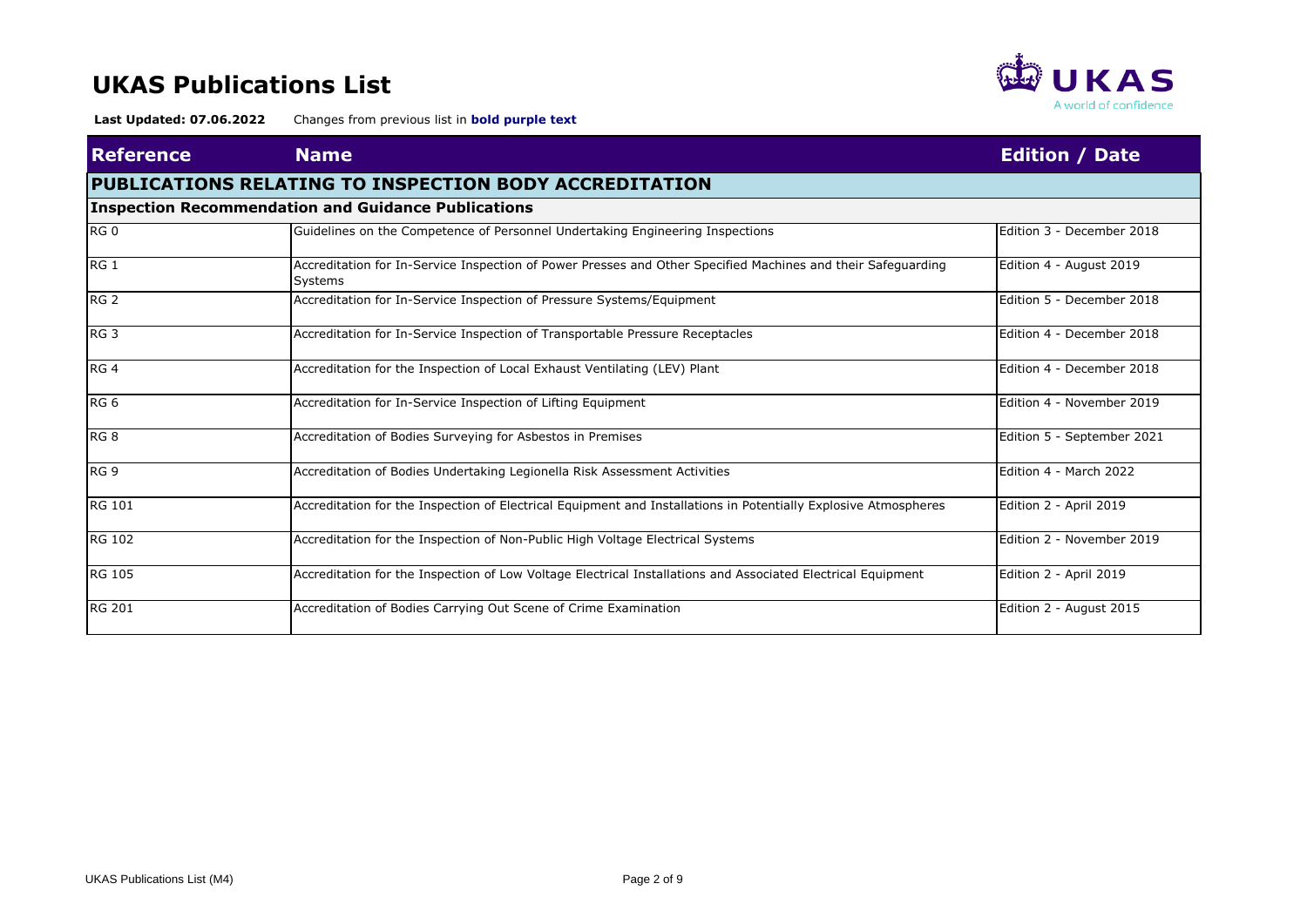

| <b>Reference</b> | <b>Name</b>                                                                                                                    | <b>Edition / Date</b>      |
|------------------|--------------------------------------------------------------------------------------------------------------------------------|----------------------------|
|                  | PUBLICATIONS RELATING TO INSPECTION BODY ACCREDITATION                                                                         |                            |
|                  | <b>Inspection Recommendation and Guidance Publications</b>                                                                     |                            |
| RG <sub>0</sub>  | Guidelines on the Competence of Personnel Undertaking Engineering Inspections                                                  | Edition 3 - December 2018  |
| RG <sub>1</sub>  | Accreditation for In-Service Inspection of Power Presses and Other Specified Machines and their Safeguarding<br><b>Systems</b> | Edition 4 - August 2019    |
| RG <sub>2</sub>  | Accreditation for In-Service Inspection of Pressure Systems/Equipment                                                          | Edition 5 - December 2018  |
| RG <sub>3</sub>  | Accreditation for In-Service Inspection of Transportable Pressure Receptacles                                                  | Edition 4 - December 2018  |
| RG <sub>4</sub>  | Accreditation for the Inspection of Local Exhaust Ventilating (LEV) Plant                                                      | Edition 4 - December 2018  |
| RG <sub>6</sub>  | Accreditation for In-Service Inspection of Lifting Equipment                                                                   | Edition 4 - November 2019  |
| RG <sub>8</sub>  | Accreditation of Bodies Surveying for Asbestos in Premises                                                                     | Edition 5 - September 2021 |
| RG <sub>9</sub>  | Accreditation of Bodies Undertaking Legionella Risk Assessment Activities                                                      | Edition 4 - March 2022     |
| <b>RG 101</b>    | Accreditation for the Inspection of Electrical Equipment and Installations in Potentially Explosive Atmospheres                | Edition 2 - April 2019     |
| <b>RG 102</b>    | Accreditation for the Inspection of Non-Public High Voltage Electrical Systems                                                 | Edition 2 - November 2019  |
| <b>RG 105</b>    | Accreditation for the Inspection of Low Voltage Electrical Installations and Associated Electrical Equipment                   | Edition 2 - April 2019     |
| <b>RG 201</b>    | Accreditation of Bodies Carrying Out Scene of Crime Examination                                                                | Edition 2 - August 2015    |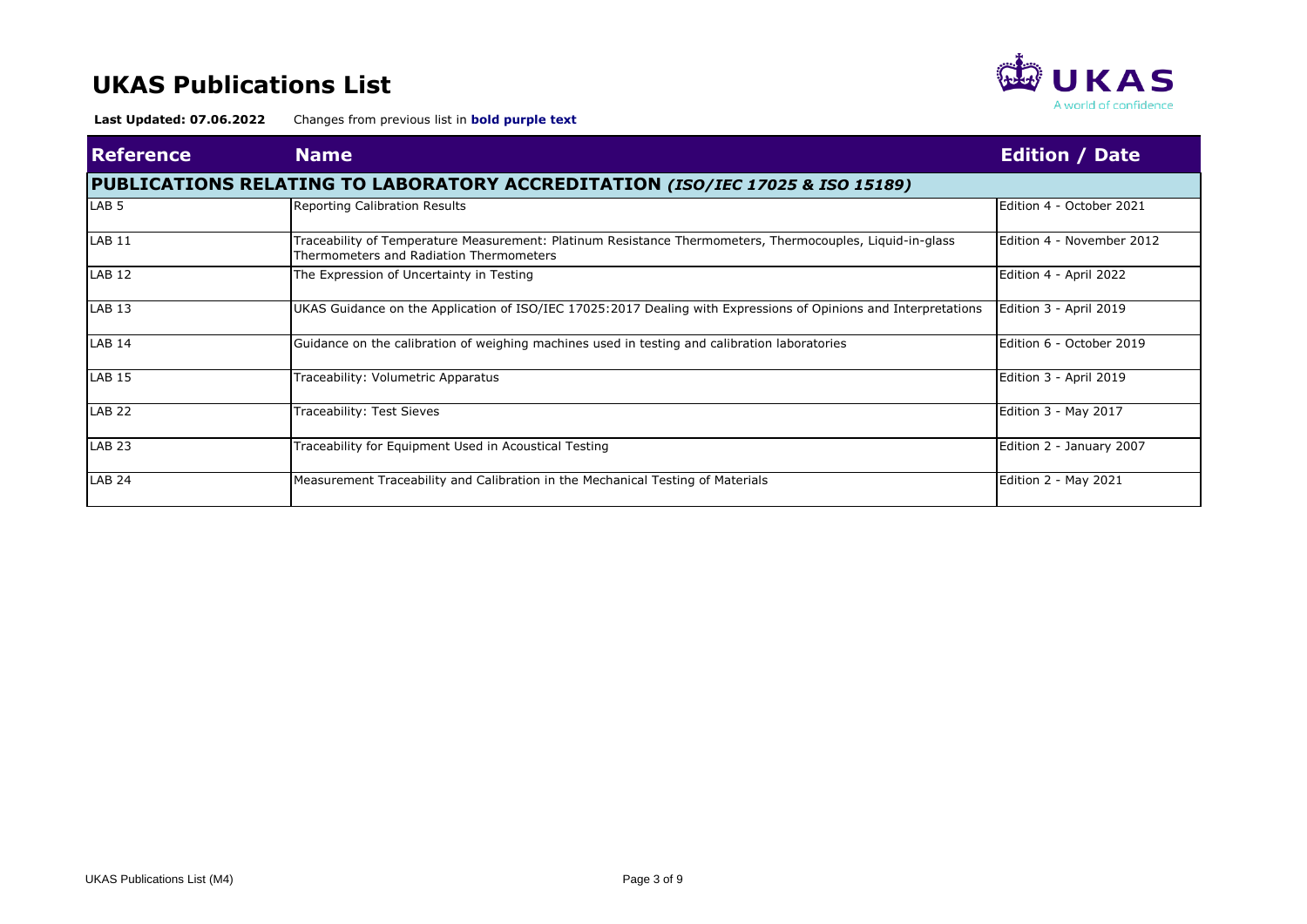

| <b>Reference</b>  | <b>Name</b>                                                                                                                                          | <b>Edition / Date</b>     |
|-------------------|------------------------------------------------------------------------------------------------------------------------------------------------------|---------------------------|
|                   | PUBLICATIONS RELATING TO LABORATORY ACCREDITATION (ISO/IEC 17025 & ISO 15189)                                                                        |                           |
| LAB <sub>5</sub>  | Reporting Calibration Results                                                                                                                        | Edition 4 - October 2021  |
| LAB <sub>11</sub> | Traceability of Temperature Measurement: Platinum Resistance Thermometers, Thermocouples, Liquid-in-glass<br>Thermometers and Radiation Thermometers | Edition 4 - November 2012 |
| LAB <sub>12</sub> | The Expression of Uncertainty in Testing                                                                                                             | Edition 4 - April 2022    |
| LAB <sub>13</sub> | UKAS Guidance on the Application of ISO/IEC 17025:2017 Dealing with Expressions of Opinions and Interpretations                                      | Edition 3 - April 2019    |
| <b>LAB 14</b>     | Guidance on the calibration of weighing machines used in testing and calibration laboratories                                                        | Edition 6 - October 2019  |
| <b>LAB 15</b>     | Traceability: Volumetric Apparatus                                                                                                                   | Edition 3 - April 2019    |
| <b>LAB 22</b>     | Traceability: Test Sieves                                                                                                                            | Edition 3 - May 2017      |
| LAB <sub>23</sub> | Traceability for Equipment Used in Acoustical Testing                                                                                                | Edition 2 - January 2007  |
| <b>LAB 24</b>     | Measurement Traceability and Calibration in the Mechanical Testing of Materials                                                                      | Edition 2 - May 2021      |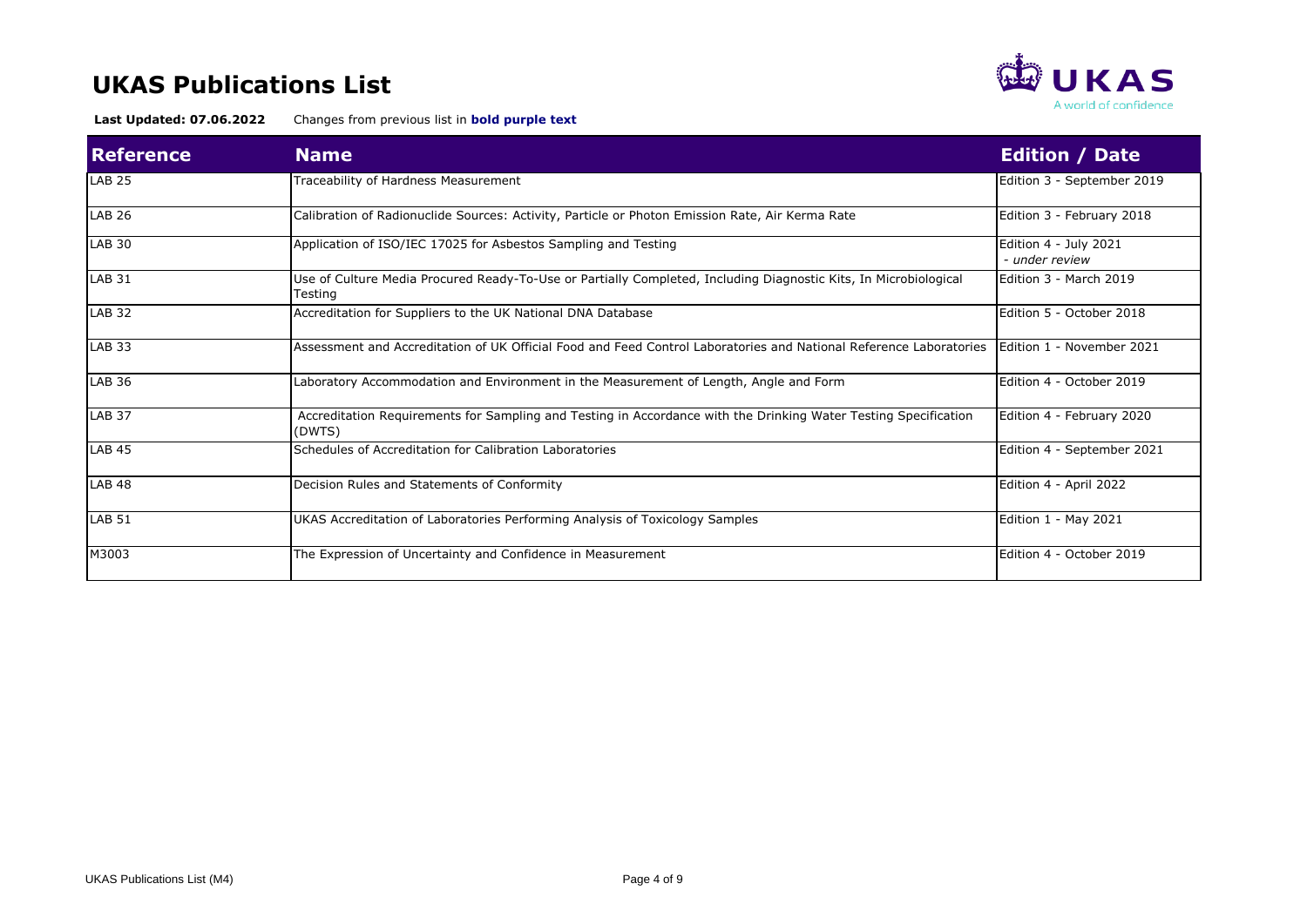

| <b>Reference</b> | <b>Name</b>                                                                                                                 | <b>Edition / Date</b>                   |
|------------------|-----------------------------------------------------------------------------------------------------------------------------|-----------------------------------------|
| <b>LAB 25</b>    | Traceability of Hardness Measurement                                                                                        | Edition 3 - September 2019              |
| <b>LAB 26</b>    | Calibration of Radionuclide Sources: Activity, Particle or Photon Emission Rate, Air Kerma Rate                             | Edition 3 - February 2018               |
| <b>LAB 30</b>    | Application of ISO/IEC 17025 for Asbestos Sampling and Testing                                                              | Edition 4 - July 2021<br>- under review |
| <b>LAB 31</b>    | Use of Culture Media Procured Ready-To-Use or Partially Completed, Including Diagnostic Kits, In Microbiological<br>Testing | Edition 3 - March 2019                  |
| <b>LAB 32</b>    | Accreditation for Suppliers to the UK National DNA Database                                                                 | Edition 5 - October 2018                |
| <b>LAB 33</b>    | Assessment and Accreditation of UK Official Food and Feed Control Laboratories and National Reference Laboratories          | Edition 1 - November 2021               |
| <b>LAB 36</b>    | Laboratory Accommodation and Environment in the Measurement of Length, Angle and Form                                       | Edition 4 - October 2019                |
| <b>LAB 37</b>    | Accreditation Requirements for Sampling and Testing in Accordance with the Drinking Water Testing Specification<br>(DWTS)   | Edition 4 - February 2020               |
| <b>LAB 45</b>    | Schedules of Accreditation for Calibration Laboratories                                                                     | Edition 4 - September 2021              |
| <b>LAB 48</b>    | Decision Rules and Statements of Conformity                                                                                 | Edition 4 - April 2022                  |
| <b>LAB 51</b>    | UKAS Accreditation of Laboratories Performing Analysis of Toxicology Samples                                                | Edition 1 - May 2021                    |
| M3003            | The Expression of Uncertainty and Confidence in Measurement                                                                 | Edition 4 - October 2019                |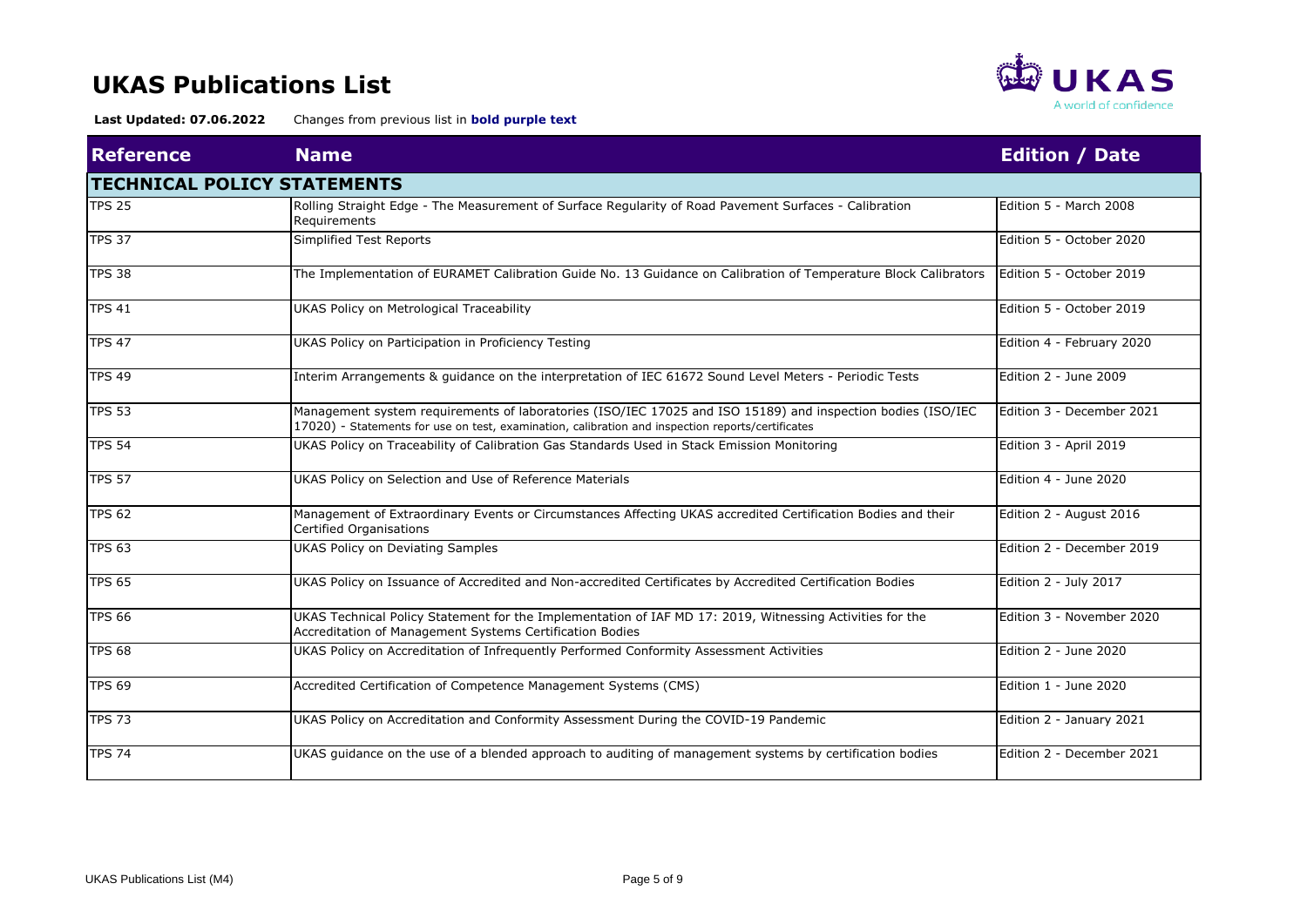

| <b>Reference</b> | <b>Name</b>                                                                                                                                                                                                      | <b>Edition / Date</b>     |
|------------------|------------------------------------------------------------------------------------------------------------------------------------------------------------------------------------------------------------------|---------------------------|
|                  | <b>TECHNICAL POLICY STATEMENTS</b>                                                                                                                                                                               |                           |
| <b>TPS 25</b>    | Rolling Straight Edge - The Measurement of Surface Regularity of Road Pavement Surfaces - Calibration<br>Requirements                                                                                            | Edition 5 - March 2008    |
| <b>TPS 37</b>    | Simplified Test Reports                                                                                                                                                                                          | Edition 5 - October 2020  |
| <b>TPS 38</b>    | The Implementation of EURAMET Calibration Guide No. 13 Guidance on Calibration of Temperature Block Calibrators                                                                                                  | Edition 5 - October 2019  |
| <b>TPS 41</b>    | UKAS Policy on Metrological Traceability                                                                                                                                                                         | Edition 5 - October 2019  |
| <b>TPS 47</b>    | UKAS Policy on Participation in Proficiency Testing                                                                                                                                                              | Edition 4 - February 2020 |
| <b>TPS 49</b>    | Interim Arrangements & guidance on the interpretation of IEC 61672 Sound Level Meters - Periodic Tests                                                                                                           | Edition 2 - June 2009     |
| <b>TPS 53</b>    | Management system requirements of laboratories (ISO/IEC 17025 and ISO 15189) and inspection bodies (ISO/IEC<br>17020) - Statements for use on test, examination, calibration and inspection reports/certificates | Edition 3 - December 2021 |
| <b>TPS 54</b>    | UKAS Policy on Traceability of Calibration Gas Standards Used in Stack Emission Monitoring                                                                                                                       | Edition 3 - April 2019    |
| <b>TPS 57</b>    | UKAS Policy on Selection and Use of Reference Materials                                                                                                                                                          | Edition 4 - June 2020     |
| <b>TPS 62</b>    | Management of Extraordinary Events or Circumstances Affecting UKAS accredited Certification Bodies and their<br><b>Certified Organisations</b>                                                                   | Edition 2 - August 2016   |
| <b>TPS 63</b>    | <b>UKAS Policy on Deviating Samples</b>                                                                                                                                                                          | Edition 2 - December 2019 |
| <b>TPS 65</b>    | UKAS Policy on Issuance of Accredited and Non-accredited Certificates by Accredited Certification Bodies                                                                                                         | Edition 2 - July 2017     |
| <b>TPS 66</b>    | UKAS Technical Policy Statement for the Implementation of IAF MD 17: 2019, Witnessing Activities for the<br>Accreditation of Management Systems Certification Bodies                                             | Edition 3 - November 2020 |
| <b>TPS 68</b>    | UKAS Policy on Accreditation of Infrequently Performed Conformity Assessment Activities                                                                                                                          | Edition 2 - June 2020     |
| <b>TPS 69</b>    | Accredited Certification of Competence Management Systems (CMS)                                                                                                                                                  |                           |
| <b>TPS 73</b>    | UKAS Policy on Accreditation and Conformity Assessment During the COVID-19 Pandemic                                                                                                                              | Edition 2 - January 2021  |
| <b>TPS 74</b>    | UKAS guidance on the use of a blended approach to auditing of management systems by certification bodies                                                                                                         | Edition 2 - December 2021 |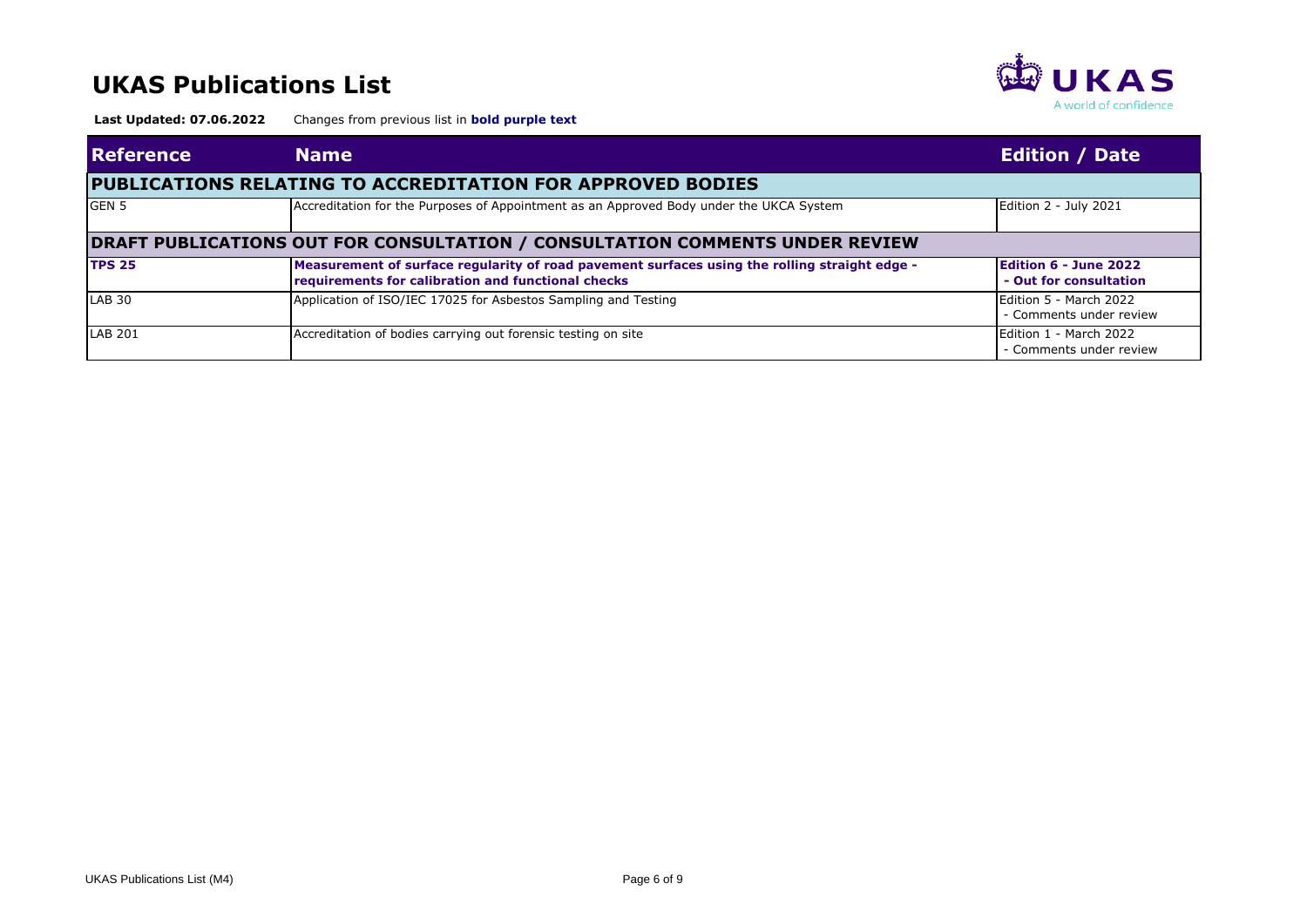

| <b>Reference</b> | <b>Name</b>                                                                                                                                         | <b>Edition / Date</b>                                  |  |  |  |
|------------------|-----------------------------------------------------------------------------------------------------------------------------------------------------|--------------------------------------------------------|--|--|--|
|                  | <b>PUBLICATIONS RELATING TO ACCREDITATION FOR APPROVED BODIES</b>                                                                                   |                                                        |  |  |  |
| GEN <sub>5</sub> | Accreditation for the Purposes of Appointment as an Approved Body under the UKCA System                                                             | Edition 2 - July 2021                                  |  |  |  |
|                  | <b>DRAFT PUBLICATIONS OUT FOR CONSULTATION / CONSULTATION COMMENTS UNDER REVIEW</b>                                                                 |                                                        |  |  |  |
| <b>TPS 25</b>    | Measurement of surface regularity of road pavement surfaces using the rolling straight edge -<br>requirements for calibration and functional checks | <b>Edition 6 - June 2022</b><br>- Out for consultation |  |  |  |
| <b>LAB 30</b>    | Application of ISO/IEC 17025 for Asbestos Sampling and Testing                                                                                      | Edition 5 - March 2022<br>- Comments under review      |  |  |  |
| LAB 201          | Accreditation of bodies carrying out forensic testing on site                                                                                       | Edition 1 - March 2022<br>- Comments under review      |  |  |  |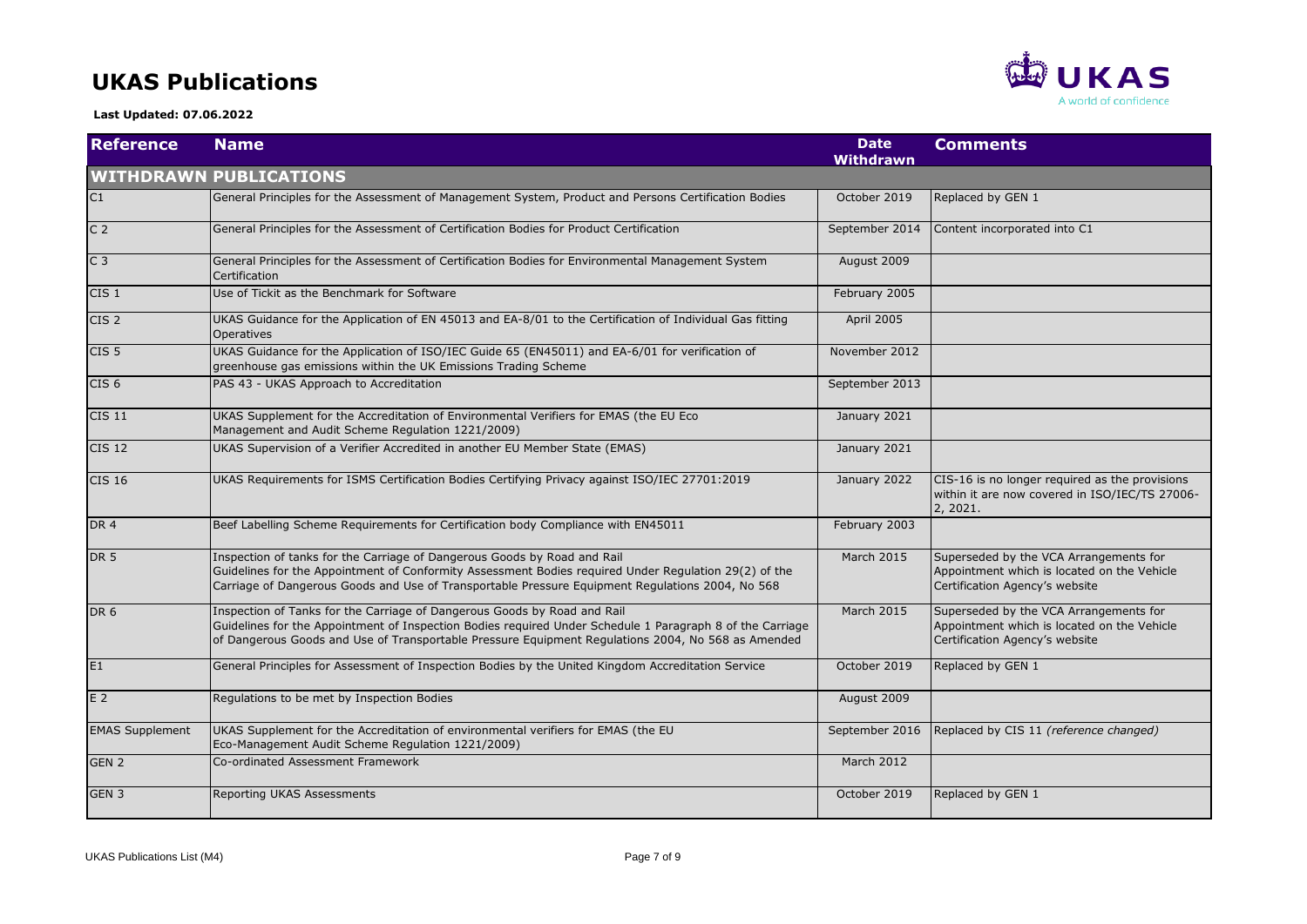#### **UKAS Publications**



 **Last Updated: 07.06.2022**

| <b>Reference</b>       | <b>Name</b>                                                                                                                                                                                                                                                                                 | <b>Date</b><br><b>Withdrawn</b> | <b>Comments</b>                                                                                                         |
|------------------------|---------------------------------------------------------------------------------------------------------------------------------------------------------------------------------------------------------------------------------------------------------------------------------------------|---------------------------------|-------------------------------------------------------------------------------------------------------------------------|
|                        | <b>WITHDRAWN PUBLICATIONS</b>                                                                                                                                                                                                                                                               |                                 |                                                                                                                         |
| C1                     | General Principles for the Assessment of Management System, Product and Persons Certification Bodies                                                                                                                                                                                        | October 2019                    | Replaced by GEN 1                                                                                                       |
| C <sub>2</sub>         | General Principles for the Assessment of Certification Bodies for Product Certification                                                                                                                                                                                                     | September 2014                  | Content incorporated into C1                                                                                            |
| C <sub>3</sub>         | General Principles for the Assessment of Certification Bodies for Environmental Management System<br>Certification                                                                                                                                                                          | August 2009                     |                                                                                                                         |
| CIS <sub>1</sub>       | Use of Tickit as the Benchmark for Software                                                                                                                                                                                                                                                 | February 2005                   |                                                                                                                         |
| CIS <sub>2</sub>       | UKAS Guidance for the Application of EN 45013 and EA-8/01 to the Certification of Individual Gas fitting<br><b>Operatives</b>                                                                                                                                                               | <b>April 2005</b>               |                                                                                                                         |
| CIS <sub>5</sub>       | UKAS Guidance for the Application of ISO/IEC Guide 65 (EN45011) and EA-6/01 for verification of<br>greenhouse gas emissions within the UK Emissions Trading Scheme                                                                                                                          | November 2012                   |                                                                                                                         |
| CIS <sub>6</sub>       | PAS 43 - UKAS Approach to Accreditation                                                                                                                                                                                                                                                     | September 2013                  |                                                                                                                         |
| <b>CIS 11</b>          | UKAS Supplement for the Accreditation of Environmental Verifiers for EMAS (the EU Eco<br>Management and Audit Scheme Regulation 1221/2009)                                                                                                                                                  | January 2021                    |                                                                                                                         |
| <b>CIS 12</b>          | UKAS Supervision of a Verifier Accredited in another EU Member State (EMAS)                                                                                                                                                                                                                 | January 2021                    |                                                                                                                         |
| <b>CIS 16</b>          | UKAS Requirements for ISMS Certification Bodies Certifying Privacy against ISO/IEC 27701:2019                                                                                                                                                                                               | January 2022                    | CIS-16 is no longer required as the provisions<br>within it are now covered in ISO/IEC/TS 27006-<br>2, 2021.            |
| DR <sub>4</sub>        | Beef Labelling Scheme Requirements for Certification body Compliance with EN45011                                                                                                                                                                                                           | February 2003                   |                                                                                                                         |
| <b>DR 5</b>            | Inspection of tanks for the Carriage of Dangerous Goods by Road and Rail<br>Guidelines for the Appointment of Conformity Assessment Bodies required Under Regulation 29(2) of the<br>Carriage of Dangerous Goods and Use of Transportable Pressure Equipment Regulations 2004, No 568       | <b>March 2015</b>               | Superseded by the VCA Arrangements for<br>Appointment which is located on the Vehicle<br>Certification Agency's website |
| DR <sub>6</sub>        | Inspection of Tanks for the Carriage of Dangerous Goods by Road and Rail<br>Guidelines for the Appointment of Inspection Bodies required Under Schedule 1 Paragraph 8 of the Carriage<br>of Dangerous Goods and Use of Transportable Pressure Equipment Regulations 2004, No 568 as Amended | <b>March 2015</b>               | Superseded by the VCA Arrangements for<br>Appointment which is located on the Vehicle<br>Certification Agency's website |
| E <sub>1</sub>         | General Principles for Assessment of Inspection Bodies by the United Kingdom Accreditation Service                                                                                                                                                                                          | October 2019                    | Replaced by GEN 1                                                                                                       |
| E <sub>2</sub>         | Regulations to be met by Inspection Bodies                                                                                                                                                                                                                                                  | August 2009                     |                                                                                                                         |
| <b>EMAS Supplement</b> | UKAS Supplement for the Accreditation of environmental verifiers for EMAS (the EU<br>Eco-Management Audit Scheme Regulation 1221/2009)                                                                                                                                                      | September 2016                  | Replaced by CIS 11 (reference changed)                                                                                  |
| GEN <sub>2</sub>       | Co-ordinated Assessment Framework                                                                                                                                                                                                                                                           | <b>March 2012</b>               |                                                                                                                         |
| GEN <sub>3</sub>       | Reporting UKAS Assessments                                                                                                                                                                                                                                                                  | October 2019                    | Replaced by GEN 1                                                                                                       |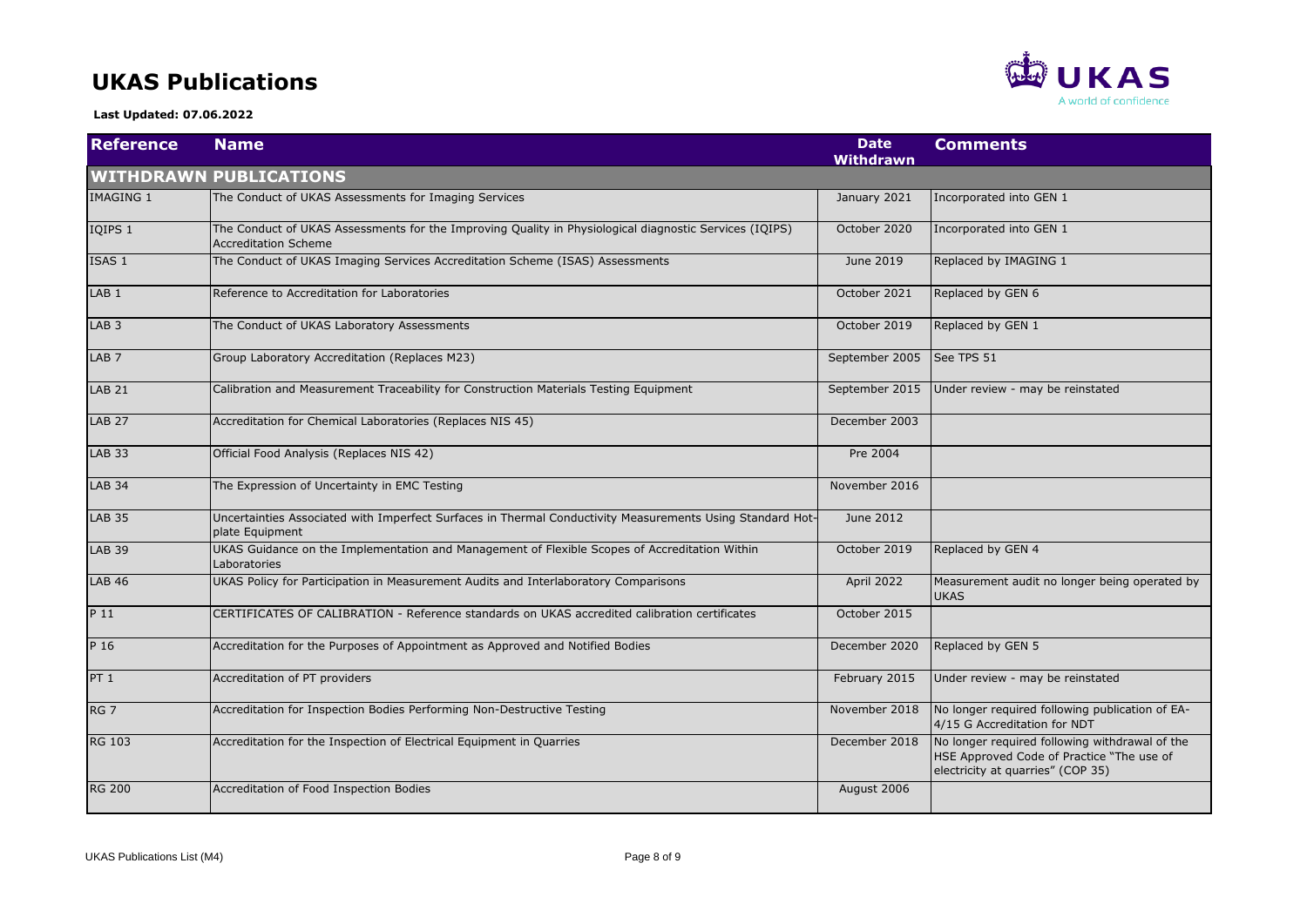#### **UKAS Publications**

**RED** UKAS A world of confidence

 **Last Updated: 07.06.2022**

| <b>Reference</b> | <b>Name</b>                                                                                                                           | <b>Date</b><br><b>Withdrawn</b> | <b>Comments</b>                                                                                                                  |
|------------------|---------------------------------------------------------------------------------------------------------------------------------------|---------------------------------|----------------------------------------------------------------------------------------------------------------------------------|
|                  | <b>WITHDRAWN PUBLICATIONS</b>                                                                                                         |                                 |                                                                                                                                  |
| <b>IMAGING 1</b> | The Conduct of UKAS Assessments for Imaging Services                                                                                  | January 2021                    | Incorporated into GEN 1                                                                                                          |
| IQIPS 1          | The Conduct of UKAS Assessments for the Improving Quality in Physiological diagnostic Services (IQIPS)<br><b>Accreditation Scheme</b> | October 2020                    | Incorporated into GEN 1                                                                                                          |
| ISAS 1           | The Conduct of UKAS Imaging Services Accreditation Scheme (ISAS) Assessments                                                          | June 2019                       | Replaced by IMAGING 1                                                                                                            |
| LAB <sub>1</sub> | Reference to Accreditation for Laboratories                                                                                           | October 2021                    | Replaced by GEN 6                                                                                                                |
| LAB <sub>3</sub> | The Conduct of UKAS Laboratory Assessments                                                                                            | October 2019                    | Replaced by GEN 1                                                                                                                |
| LAB <sub>7</sub> | Group Laboratory Accreditation (Replaces M23)                                                                                         | September 2005                  | See TPS 51                                                                                                                       |
| <b>LAB 21</b>    | Calibration and Measurement Traceability for Construction Materials Testing Equipment                                                 | September 2015                  | Under review - may be reinstated                                                                                                 |
| <b>LAB 27</b>    | Accreditation for Chemical Laboratories (Replaces NIS 45)                                                                             | December 2003                   |                                                                                                                                  |
| <b>LAB 33</b>    | Official Food Analysis (Replaces NIS 42)                                                                                              | Pre 2004                        |                                                                                                                                  |
| <b>LAB 34</b>    | The Expression of Uncertainty in EMC Testing                                                                                          | November 2016                   |                                                                                                                                  |
| <b>LAB 35</b>    | Uncertainties Associated with Imperfect Surfaces in Thermal Conductivity Measurements Using Standard Hot-<br>plate Equipment          | June 2012                       |                                                                                                                                  |
| <b>LAB 39</b>    | UKAS Guidance on the Implementation and Management of Flexible Scopes of Accreditation Within<br>Laboratories                         | October 2019                    | Replaced by GEN 4                                                                                                                |
| <b>LAB 46</b>    | UKAS Policy for Participation in Measurement Audits and Interlaboratory Comparisons                                                   | April 2022                      | Measurement audit no longer being operated by<br><b>UKAS</b>                                                                     |
| P 11             | CERTIFICATES OF CALIBRATION - Reference standards on UKAS accredited calibration certificates                                         | October 2015                    |                                                                                                                                  |
| P 16             | Accreditation for the Purposes of Appointment as Approved and Notified Bodies                                                         | December 2020                   | Replaced by GEN 5                                                                                                                |
| PT 1             | Accreditation of PT providers                                                                                                         | February 2015                   | Under review - may be reinstated                                                                                                 |
| RG <sub>7</sub>  | Accreditation for Inspection Bodies Performing Non-Destructive Testing                                                                | November 2018                   | No longer required following publication of EA-<br>4/15 G Accreditation for NDT                                                  |
| <b>RG 103</b>    | Accreditation for the Inspection of Electrical Equipment in Quarries                                                                  | December 2018                   | No longer required following withdrawal of the<br>HSE Approved Code of Practice "The use of<br>electricity at quarries" (COP 35) |
| <b>RG 200</b>    | Accreditation of Food Inspection Bodies                                                                                               | August 2006                     |                                                                                                                                  |